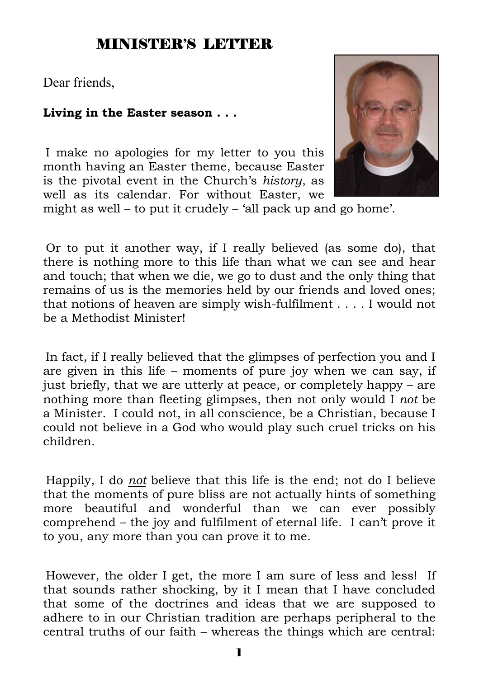#### MINISTER'S LETTER

Dear friends,

#### **Living in the Easter season . . .**

I make no apologies for my letter to you this month having an Easter theme, because Easter is the pivotal event in the Church's *history*, as well as its calendar. For without Easter, we



might as well – to put it crudely – 'all pack up and go home'.

Or to put it another way, if I really believed (as some do), that there is nothing more to this life than what we can see and hear and touch; that when we die, we go to dust and the only thing that remains of us is the memories held by our friends and loved ones; that notions of heaven are simply wish-fulfilment . . . . I would not be a Methodist Minister!

In fact, if I really believed that the glimpses of perfection you and I are given in this life – moments of pure joy when we can say, if just briefly, that we are utterly at peace, or completely happy – are nothing more than fleeting glimpses, then not only would I *not* be a Minister. I could not, in all conscience, be a Christian, because I could not believe in a God who would play such cruel tricks on his children.

Happily, I do *not* believe that this life is the end; not do I believe that the moments of pure bliss are not actually hints of something more beautiful and wonderful than we can ever possibly comprehend – the joy and fulfilment of eternal life. I can't prove it to you, any more than you can prove it to me.

However, the older I get, the more I am sure of less and less! If that sounds rather shocking, by it I mean that I have concluded that some of the doctrines and ideas that we are supposed to adhere to in our Christian tradition are perhaps peripheral to the central truths of our faith – whereas the things which are central: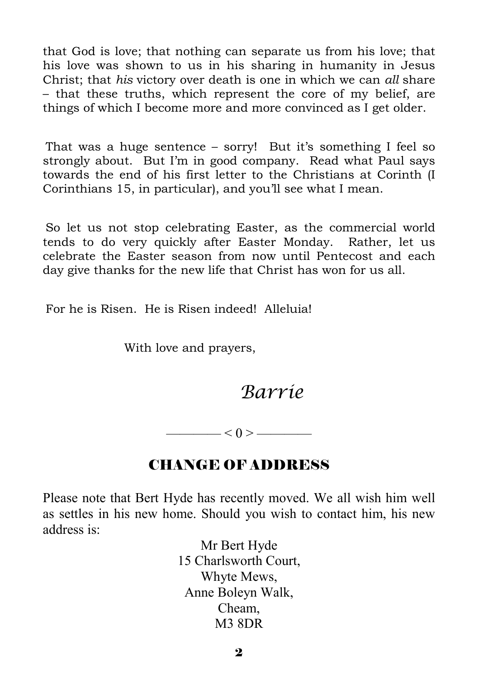that God is love; that nothing can separate us from his love; that his love was shown to us in his sharing in humanity in Jesus Christ; that *his* victory over death is one in which we can *all* share – that these truths, which represent the core of my belief, are things of which I become more and more convinced as I get older.

That was a huge sentence – sorry! But it's something I feel so strongly about. But I'm in good company. Read what Paul says towards the end of his first letter to the Christians at Corinth (I Corinthians 15, in particular), and you'll see what I mean.

So let us not stop celebrating Easter, as the commercial world tends to do very quickly after Easter Monday. Rather, let us celebrate the Easter season from now until Pentecost and each day give thanks for the new life that Christ has won for us all.

For he is Risen. He is Risen indeed! Alleluia!

With love and prayers,

*Barrie*

 $<$  0 > ————

#### CHANGE OF ADDRESS

Please note that Bert Hyde has recently moved. We all wish him well as settles in his new home. Should you wish to contact him, his new address is:

> Mr Bert Hyde 15 Charlsworth Court, Whyte Mews, Anne Boleyn Walk, Cheam, M3 8DR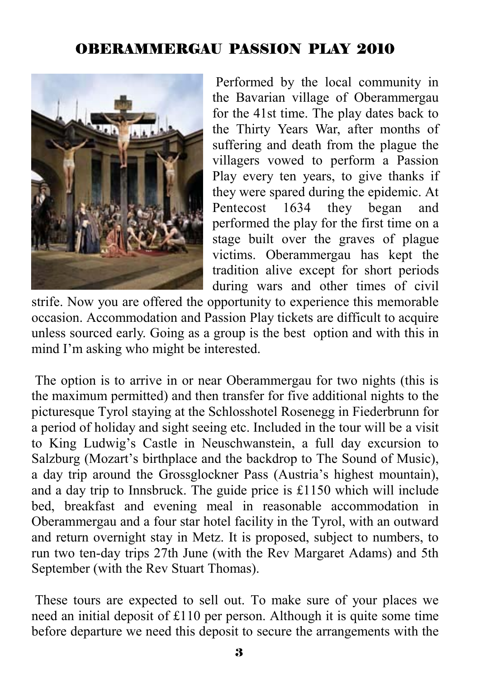# OBERAMMERGAU PASSION PLAY 2010



 Performed by the local community in the Bavarian village of Oberammergau for the 41st time. The play dates back to the Thirty Years War, after months of suffering and death from the plague the villagers vowed to perform a Passion Play every ten years, to give thanks if they were spared during the epidemic. At Pentecost 1634 they began and performed the play for the first time on a stage built over the graves of plague victims. Oberammergau has kept the tradition alive except for short periods during wars and other times of civil

strife. Now you are offered the opportunity to experience this memorable occasion. Accommodation and Passion Play tickets are difficult to acquire unless sourced early. Going as a group is the best option and with this in mind I'm asking who might be interested.

 The option is to arrive in or near Oberammergau for two nights (this is the maximum permitted) and then transfer for five additional nights to the picturesque Tyrol staying at the Schlosshotel Rosenegg in Fiederbrunn for a period of holiday and sight seeing etc. Included in the tour will be a visit to King Ludwig's Castle in Neuschwanstein, a full day excursion to Salzburg (Mozart's birthplace and the backdrop to The Sound of Music), a day trip around the Grossglockner Pass (Austria's highest mountain), and a day trip to Innsbruck. The guide price is £1150 which will include bed, breakfast and evening meal in reasonable accommodation in Oberammergau and a four star hotel facility in the Tyrol, with an outward and return overnight stay in Metz. It is proposed, subject to numbers, to run two ten-day trips 27th June (with the Rev Margaret Adams) and 5th September (with the Rev Stuart Thomas).

 These tours are expected to sell out. To make sure of your places we need an initial deposit of £110 per person. Although it is quite some time before departure we need this deposit to secure the arrangements with the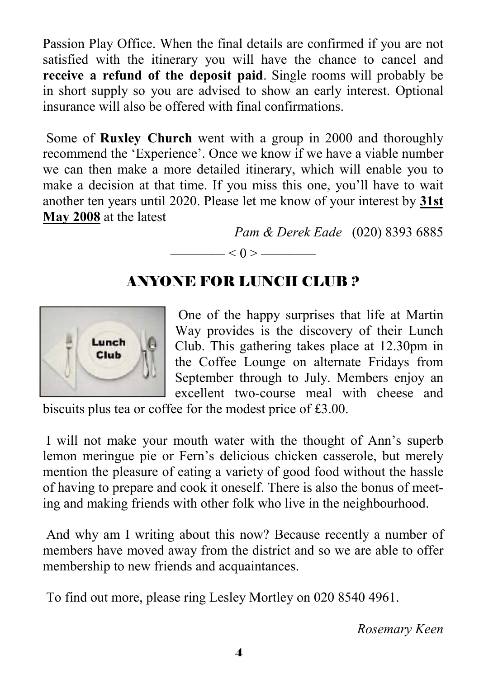Passion Play Office. When the final details are confirmed if you are not satisfied with the itinerary you will have the chance to cancel and **receive a refund of the deposit paid**. Single rooms will probably be in short supply so you are advised to show an early interest. Optional insurance will also be offered with final confirmations.

 Some of **Ruxley Church** went with a group in 2000 and thoroughly recommend the 'Experience'. Once we know if we have a viable number we can then make a more detailed itinerary, which will enable you to make a decision at that time. If you miss this one, you'll have to wait another ten years until 2020. Please let me know of your interest by **31st May 2008** at the latest

*Pam & Derek Eade* (020) 8393 6885

# ANYONE FOR LUNCH CLUB ?

 $\left| \alpha - \alpha \right| < 0 > \frac{1}{\alpha}$ 



 One of the happy surprises that life at Martin Way provides is the discovery of their Lunch Club. This gathering takes place at 12.30pm in the Coffee Lounge on alternate Fridays from September through to July. Members enjoy an excellent two-course meal with cheese and

biscuits plus tea or coffee for the modest price of £3.00.

 I will not make your mouth water with the thought of Ann's superb lemon meringue pie or Fern's delicious chicken casserole, but merely mention the pleasure of eating a variety of good food without the hassle of having to prepare and cook it oneself. There is also the bonus of meeting and making friends with other folk who live in the neighbourhood.

 And why am I writing about this now? Because recently a number of members have moved away from the district and so we are able to offer membership to new friends and acquaintances.

To find out more, please ring Lesley Mortley on 020 8540 4961.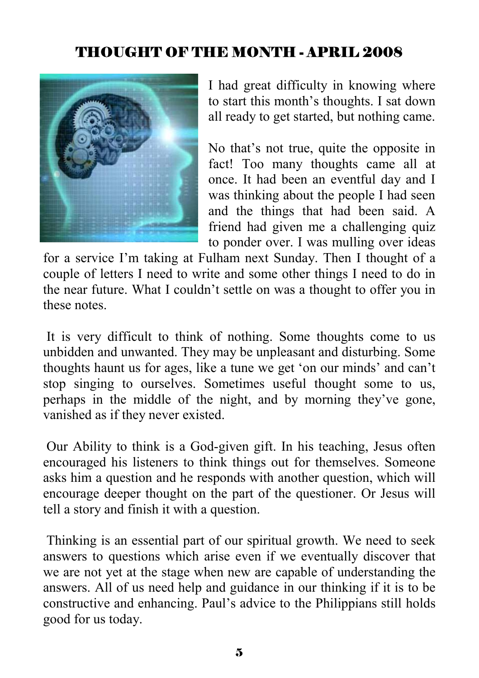# THOUGHT OF THE MONTH - APRIL 2008



I had great difficulty in knowing where to start this month's thoughts. I sat down all ready to get started, but nothing came.

No that's not true, quite the opposite in fact! Too many thoughts came all at once. It had been an eventful day and I was thinking about the people I had seen and the things that had been said. A friend had given me a challenging quiz to ponder over. I was mulling over ideas

for a service I'm taking at Fulham next Sunday. Then I thought of a couple of letters I need to write and some other things I need to do in the near future. What I couldn't settle on was a thought to offer you in these notes.

 It is very difficult to think of nothing. Some thoughts come to us unbidden and unwanted. They may be unpleasant and disturbing. Some thoughts haunt us for ages, like a tune we get 'on our minds' and can't stop singing to ourselves. Sometimes useful thought some to us, perhaps in the middle of the night, and by morning they've gone, vanished as if they never existed.

 Our Ability to think is a God-given gift. In his teaching, Jesus often encouraged his listeners to think things out for themselves. Someone asks him a question and he responds with another question, which will encourage deeper thought on the part of the questioner. Or Jesus will tell a story and finish it with a question.

 Thinking is an essential part of our spiritual growth. We need to seek answers to questions which arise even if we eventually discover that we are not yet at the stage when new are capable of understanding the answers. All of us need help and guidance in our thinking if it is to be constructive and enhancing. Paul's advice to the Philippians still holds good for us today.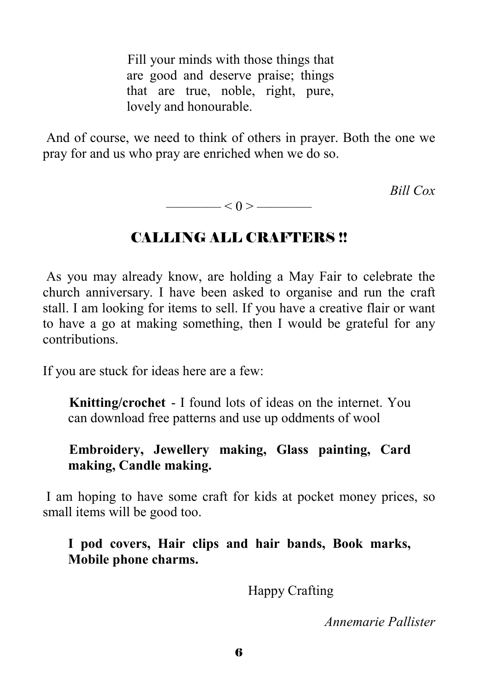Fill your minds with those things that are good and deserve praise; things that are true, noble, right, pure, lovely and honourable.

 And of course, we need to think of others in prayer. Both the one we pray for and us who pray are enriched when we do so.

*Bill Cox* 

CALLING ALL CRAFTERS !!

 $\longrightarrow$  < 0 >  $\longrightarrow$ 

 As you may already know, are holding a May Fair to celebrate the church anniversary. I have been asked to organise and run the craft stall. I am looking for items to sell. If you have a creative flair or want to have a go at making something, then I would be grateful for any contributions.

If you are stuck for ideas here are a few:

**Knitting/crochet** - I found lots of ideas on the internet. You can download free patterns and use up oddments of wool

**Embroidery, Jewellery making, Glass painting, Card making, Candle making.** 

 I am hoping to have some craft for kids at pocket money prices, so small items will be good too.

**I pod covers, Hair clips and hair bands, Book marks, Mobile phone charms.** 

Happy Crafting

*Annemarie Pallister*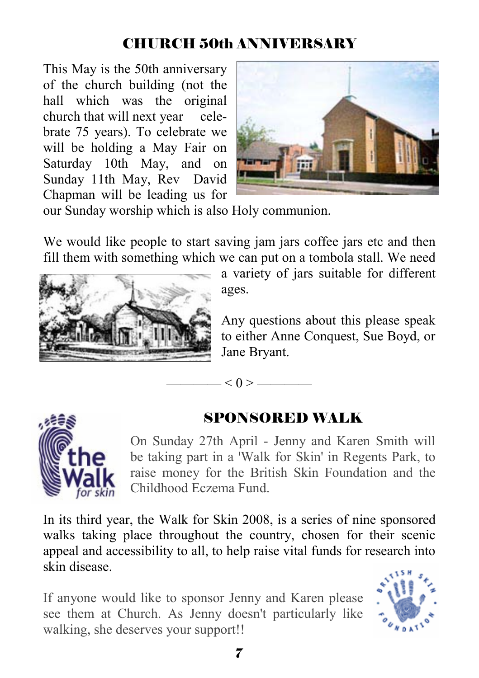# CHURCH 50th ANNIVERSARY

This May is the 50th anniversary of the church building (not the hall which was the original church that will next year celebrate 75 years). To celebrate we will be holding a May Fair on Saturday 10th May, and on Sunday 11th May, Rev David Chapman will be leading us for



our Sunday worship which is also Holy communion.

We would like people to start saving jam jars coffee jars etc and then fill them with something which we can put on a tombola stall. We need

 $< 0 > -$ 



a variety of jars suitable for different ages.

Any questions about this please speak to either Anne Conquest, Sue Boyd, or Jane Bryant.



for skin

≜≸ر,

# SPONSORED WALK

On Sunday 27th April - Jenny and Karen Smith will be taking part in a 'Walk for Skin' in Regents Park, to raise money for the British Skin Foundation and the Childhood Eczema Fund.

In its third year, the Walk for Skin 2008, is a series of nine sponsored walks taking place throughout the country, chosen for their scenic appeal and accessibility to all, to help raise vital funds for research into skin disease.

If anyone would like to sponsor Jenny and Karen please see them at Church. As Jenny doesn't particularly like walking, she deserves your support!!

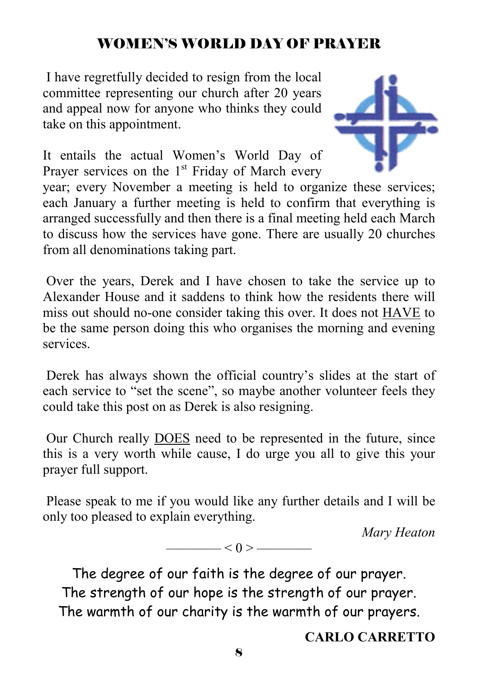# WOMEN'S WORLD DAY OF PRAYER

 I have regretfully decided to resign from the local committee representing our church after 20 years and appeal now for anyone who thinks they could take on this appointment.

It entails the actual Women's World Day of Prayer services on the  $1<sup>st</sup>$  Friday of March every

year; every November a meeting is held to organize these services; each January a further meeting is held to confirm that everything is arranged successfully and then there is a final meeting held each March to discuss how the services have gone. There are usually 20 churches from all denominations taking part.

 Over the years, Derek and I have chosen to take the service up to Alexander House and it saddens to think how the residents there will miss out should no-one consider taking this over. It does not HAVE to be the same person doing this who organises the morning and evening services.

 Derek has always shown the official country's slides at the start of each service to "set the scene", so maybe another volunteer feels they could take this post on as Derek is also resigning.

 Our Church really DOES need to be represented in the future, since this is a very worth while cause, I do urge you all to give this your prayer full support.

 Please speak to me if you would like any further details and I will be only too pleased to explain everything.

 $\qquad$   $\qquad$   $\qquad$   $\qquad$   $\qquad$   $\qquad$   $\qquad$   $\qquad$   $\qquad$   $\qquad$   $\qquad$   $\qquad$   $\qquad$   $\qquad$   $\qquad$   $\qquad$   $\qquad$   $\qquad$   $\qquad$   $\qquad$   $\qquad$   $\qquad$   $\qquad$   $\qquad$   $\qquad$   $\qquad$   $\qquad$   $\qquad$   $\qquad$   $\qquad$   $\qquad$   $\qquad$   $\qquad$   $\qquad$   $\qquad$   $\qquad$   $\qquad$ 

*Mary Heaton* 

The degree of our faith is the degree of our prayer. The strength of our hope is the strength of our prayer. The warmth of our charity is the warmth of our prayers.

**CARLO CARRETTO**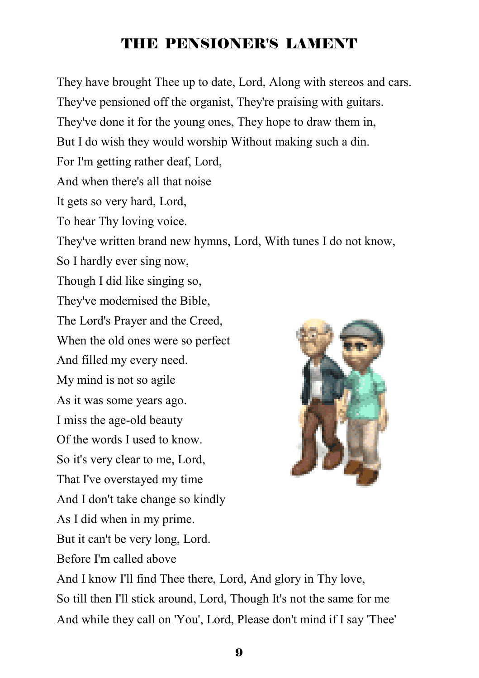# THE PENSIONER'S LAMENT

They have brought Thee up to date, Lord, Along with stereos and cars. They've pensioned off the organist, They're praising with guitars. They've done it for the young ones, They hope to draw them in, But I do wish they would worship Without making such a din. For I'm getting rather deaf, Lord, And when there's all that noise It gets so very hard, Lord, To hear Thy loving voice. They've written brand new hymns, Lord, With tunes I do not know, So I hardly ever sing now, Though I did like singing so, They've modernised the Bible, The Lord's Prayer and the Creed, When the old ones were so perfect And filled my every need. My mind is not so agile As it was some years ago. I miss the age-old beauty Of the words I used to know. So it's very clear to me, Lord, That I've overstayed my time And I don't take change so kindly As I did when in my prime. But it can't be very long, Lord. Before I'm called above And I know I'll find Thee there, Lord, And glory in Thy love, So till then I'll stick around, Lord, Though It's not the same for me

And while they call on 'You', Lord, Please don't mind if I say 'Thee'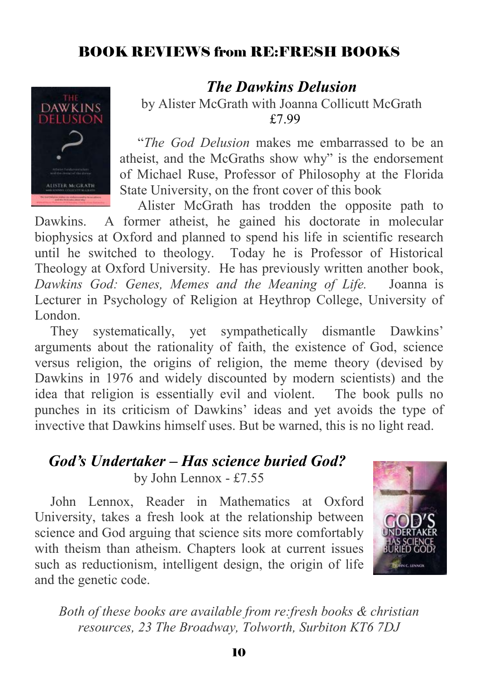# BOOK REVIEWS from RE:FRESH BOOKS



#### *The Dawkins Delusion*

by Alister McGrath with Joanna Collicutt McGrath £7.99

"*The God Delusion* makes me embarrassed to be an atheist, and the McGraths show why" is the endorsement of Michael Ruse, Professor of Philosophy at the Florida State University, on the front cover of this book

Alister McGrath has trodden the opposite path to Dawkins. A former atheist, he gained his doctorate in molecular biophysics at Oxford and planned to spend his life in scientific research until he switched to theology. Today he is Professor of Historical Theology at Oxford University. He has previously written another book, *Dawkins God: Genes, Memes and the Meaning of Life.* Joanna is Lecturer in Psychology of Religion at Heythrop College, University of London.

They systematically, yet sympathetically dismantle Dawkins' arguments about the rationality of faith, the existence of God, science versus religion, the origins of religion, the meme theory (devised by Dawkins in 1976 and widely discounted by modern scientists) and the idea that religion is essentially evil and violent. The book pulls no punches in its criticism of Dawkins' ideas and yet avoids the type of invective that Dawkins himself uses. But be warned, this is no light read.

#### *God's Undertaker – Has science buried God?* by John Lennox - £7.55

John Lennox, Reader in Mathematics at Oxford University, takes a fresh look at the relationship between science and God arguing that science sits more comfortably with theism than atheism. Chapters look at current issues such as reductionism, intelligent design, the origin of life and the genetic code.



*Both of these books are available from re:fresh books & christian resources, 23 The Broadway, Tolworth, Surbiton KT6 7DJ*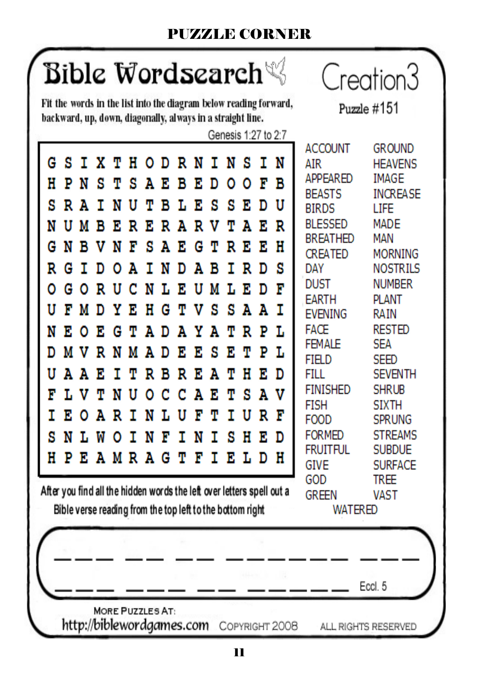# PUZZLE CORNER

# Bible Wordsearch $\%$

Fit the words in the list into the diagram below reading forward, backward, up, down, diagonally, always in a straight line.

Creation3

Puzzle  $\#151$ 

Genesis 1:27 to 2:7 **ACCOUNT GROUND GSTXTHODRNINST** 'N **ATR HEAVENS APPFARFD IMAGF** PNS н T я ΑE B T. D  $0<sub>0</sub>$ F в **REASTS INCREASE** s **RAT** N U Ф в т. E S s 'n. D Ħ **BIRDS I TFF BLESSED MADE RERARV** AE NUMB F. Ψ R **BREATHED MAN** GNR 'N g ĸ н v T Ά F. G Ψ R F. CREATED **MORNING** N R G T D O Ά т D Ά в т R D я **DAY NOSTRILS DUST NUMBER** N L E UM L E T ٥ GORU -C D **FARTH PI ANT** Y v s s U F M D 'n. н G Ψ Ά Ά т **FVENING RAIN FACE RESTED** N E O L E G AD Α YA P Ψ т R **FFMALF SFA MVRNMAD** D - E 'n. s κ т P т. FIFI<sub>D</sub> SEED U AAR Ψ R B R T. Ά Ψ н F. n FILL. **SEVENTH** т **FINISHED SHRUB** v F N Ά L V s т Н 0 с с Α E т **FISH STXTH** т I U E O ART N L R 'n Ħ F т **FOOD SPRUNG SNLWO** Н **FORMED STREAMS** INF I N т s F. D **FRUITFUL SUBDUE** H PEAMRAGT F Е т LDH **GIVE SURFACE** GOD **TRFF** After you find all the hidden words the left over letters spell out a **GREEN VAST** Bible verse reading from the top left to the bottom right **WATERED** 

Eccl<sub>5</sub>

**MORE PUZZLES AT:** http://biblewordgames.com COPYRIGHT 2008

ALL RIGHTS RESERVED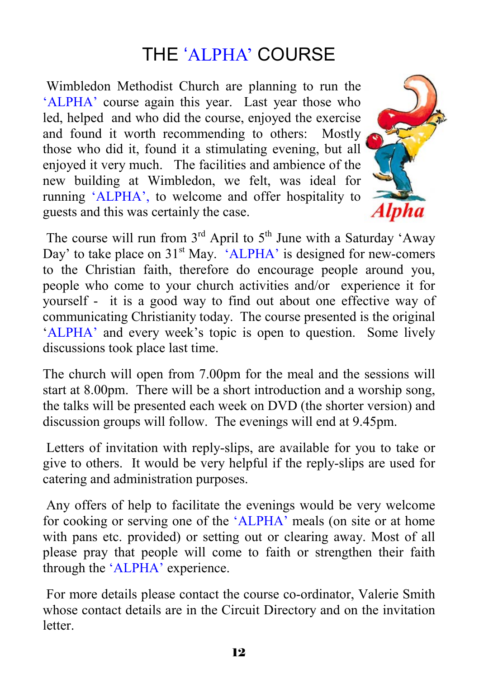# THE 'ALPHA' COURSE

 Wimbledon Methodist Church are planning to run the 'ALPHA' course again this year. Last year those who led, helped and who did the course, enjoyed the exercise and found it worth recommending to others: Mostly those who did it, found it a stimulating evening, but all enjoyed it very much. The facilities and ambience of the new building at Wimbledon, we felt, was ideal for running 'ALPHA', to welcome and offer hospitality to guests and this was certainly the case.



The course will run from  $3<sup>rd</sup>$  April to  $5<sup>th</sup>$  June with a Saturday 'Away Day' to take place on  $31<sup>st</sup>$  May. 'ALPHA' is designed for new-comers to the Christian faith, therefore do encourage people around you, people who come to your church activities and/or experience it for yourself - it is a good way to find out about one effective way of communicating Christianity today. The course presented is the original 'ALPHA' and every week's topic is open to question. Some lively discussions took place last time.

The church will open from 7.00pm for the meal and the sessions will start at 8.00pm. There will be a short introduction and a worship song, the talks will be presented each week on DVD (the shorter version) and discussion groups will follow. The evenings will end at 9.45pm.

 Letters of invitation with reply-slips, are available for you to take or give to others. It would be very helpful if the reply-slips are used for catering and administration purposes.

 Any offers of help to facilitate the evenings would be very welcome for cooking or serving one of the 'ALPHA' meals (on site or at home with pans etc. provided) or setting out or clearing away. Most of all please pray that people will come to faith or strengthen their faith through the 'ALPHA' experience.

 For more details please contact the course co-ordinator, Valerie Smith whose contact details are in the Circuit Directory and on the invitation **letter**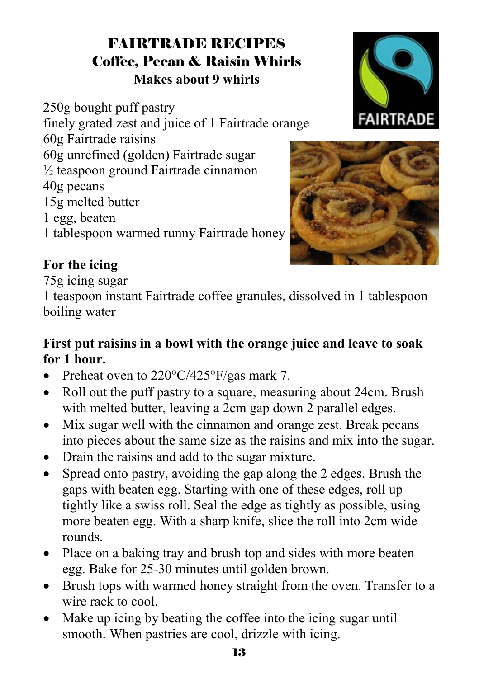# FAIRTRADE RECIPES Coffee, Pecan & Raisin Whirls **Makes about 9 whirls**

250g bought puff pastry finely grated zest and juice of 1 Fairtrade orange 60g Fairtrade raisins 60g unrefined (golden) Fairtrade sugar  $\frac{1}{2}$  teaspoon ground Fairtrade cinnamon 40g pecans 15g melted butter 1 egg, beaten 1 tablespoon warmed runny Fairtrade honey





#### **For the icing**

75g icing sugar

1 teaspoon instant Fairtrade coffee granules, dissolved in 1 tablespoon boiling water

#### **First put raisins in a bowl with the orange juice and leave to soak for 1 hour.**

- Preheat oven to 220°C/425°F/gas mark 7.
- Roll out the puff pastry to a square, measuring about 24cm. Brush with melted butter, leaving a 2cm gap down 2 parallel edges.
- Mix sugar well with the cinnamon and orange zest. Break pecans into pieces about the same size as the raisins and mix into the sugar.
- Drain the raisins and add to the sugar mixture.
- Spread onto pastry, avoiding the gap along the 2 edges. Brush the gaps with beaten egg. Starting with one of these edges, roll up tightly like a swiss roll. Seal the edge as tightly as possible, using more beaten egg. With a sharp knife, slice the roll into 2cm wide rounds.
- Place on a baking tray and brush top and sides with more beaten egg. Bake for 25-30 minutes until golden brown.
- Brush tops with warmed honey straight from the oven. Transfer to a wire rack to cool.
- Make up icing by beating the coffee into the icing sugar until smooth. When pastries are cool, drizzle with icing.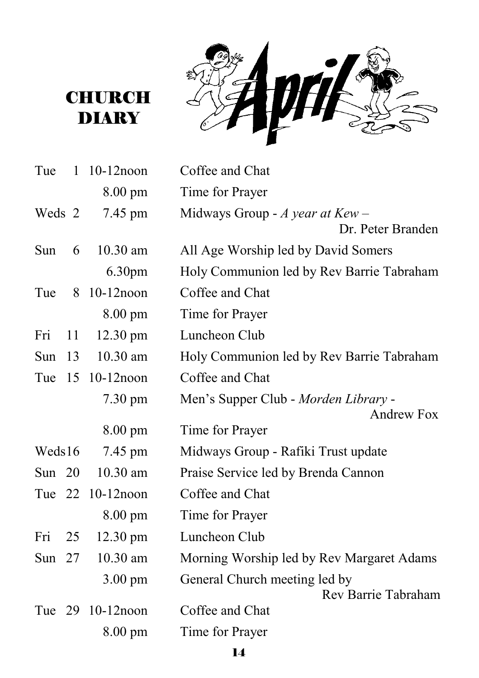R € 听着  $\epsilon$ Ś



| Tue      | $\mathbf{1}$ | $10-12$ noon       | Coffee and Chat                                           |
|----------|--------------|--------------------|-----------------------------------------------------------|
|          |              | 8.00 pm            | Time for Prayer                                           |
| Weds 2   |              | 7.45 pm            | Midways Group - $A$ year at Kew -<br>Dr. Peter Branden    |
| Sun      | 6            | $10.30$ am         | All Age Worship led by David Somers                       |
|          |              | 6.30 <sub>pm</sub> | Holy Communion led by Rev Barrie Tabraham                 |
| Tue      |              | 8 10-12noon        | Coffee and Chat                                           |
|          |              | 8.00 pm            | Time for Prayer                                           |
| Fri      | 11           | $12.30 \text{ pm}$ | Luncheon Club                                             |
| Sun      | 13           | 10.30 am           | Holy Communion led by Rev Barrie Tabraham                 |
| Tue      |              | 15 10-12 noon      | Coffee and Chat                                           |
|          |              | $7.30 \text{ pm}$  | Men's Supper Club - Morden Library -<br><b>Andrew Fox</b> |
|          |              | $8.00 \text{ pm}$  | Time for Prayer                                           |
| Weds16   |              | 7.45 pm            | Midways Group - Rafiki Trust update                       |
| Sun $20$ |              | 10.30 am           | Praise Service led by Brenda Cannon                       |
|          |              | Tue 22 10-12 noon  | Coffee and Chat                                           |
|          |              | $8.00 \text{ pm}$  | Time for Prayer                                           |
| Fri      | 25           | 12.30 pm           | Luncheon Club                                             |
| Sun $27$ |              | 10.30 am           | Morning Worship led by Rev Margaret Adams                 |
|          |              | $3.00 \text{ pm}$  | General Church meeting led by<br>Rev Barrie Tabraham      |
|          |              | Tue 29 10-12 noon  | Coffee and Chat                                           |
|          |              | $8.00 \text{ pm}$  | Time for Prayer                                           |

14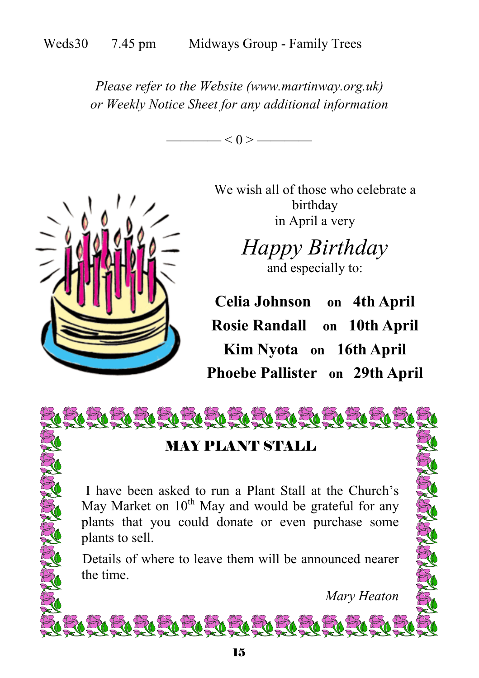*Please refer to the Website (www.martinway.org.uk) or Weekly Notice Sheet for any additional information* 





We wish all of those who celebrate a birthday in April a very

> *Happy Birthday*  and especially to:

**Celia Johnson on 4th April Rosie Randall on 10th April Kim Nyota on 16th April Phoebe Pallister on 29th April**

ELELELELELELELELELELELE

# MAY PLANT STALL

 I have been asked to run a Plant Stall at the Church's May Market on  $10^{th}$  May and would be grateful for any plants that you could donate or even purchase some plants to sell.

Details of where to leave them will be announced nearer the time.

 *Mary Heaton* 

<u>RARARRAHARRARR</u>